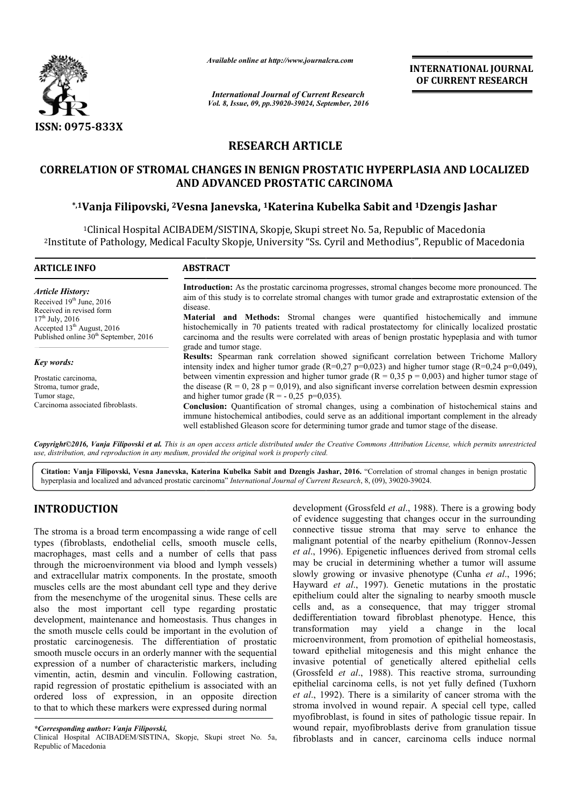

*Available online at http://www.journalcra.com*

*International Journal of Current Research Vol. 8, Issue, 09, pp.39020-39024, September, 2016* INTERNATIONAL JOURNAL OF CURRENT RESEARCH

# RESEARCH ARTICLE

## CORRELATION OF STROMAL CHANGES IN BENIGN PROSTATIC HYPERPLASIA AND LOCALIZED PROSTATIC HYPERPLASIA AND ADVANCED PROSTATIC CARCINOMA

## \*,1Vanja Filipovski, 2Vesna Janevska, Vesna 1Katerina Kubelka Sabit and 1Dzengis Jashar

1Clinical Hospital ACIBADEM/SISTINA, Skopje, Skupi street No. 5a, Republic of Macedonia 2Institute of Pathology, Medical Faculty Skopje, University "Ss. Cyril and Methodius", <sup>1</sup>Clinical Hospital ACIBADEM/SISTINA, Skopje, Skupi street No. 5a, Republic of Macedonia<br>Institute of Pathology, Medical Faculty Skopje, University "Ss. Cyril and Methodius", Republic of Macedonia

| <b>ARTICLE INFO</b>                                                                                                                                                                  | <b>ABSTRACT</b>                                                                                                                                                                                                                                                                                                                                                                                                                                                                                                                                           |
|--------------------------------------------------------------------------------------------------------------------------------------------------------------------------------------|-----------------------------------------------------------------------------------------------------------------------------------------------------------------------------------------------------------------------------------------------------------------------------------------------------------------------------------------------------------------------------------------------------------------------------------------------------------------------------------------------------------------------------------------------------------|
| Article History:<br>Received $19th$ June, 2016<br>Received in revised form<br>$17th$ July, 2016<br>Accepted $13th$ August, 2016<br>Published online 30 <sup>th</sup> September, 2016 | Introduction: As the prostatic carcinoma progresses, stromal changes become more pronounced. The<br>aim of this study is to correlate stromal changes with tumor grade and extraprostatic extension of the<br>disease.<br><b>Material and Methods:</b> Stromal changes were quantified histochemically and immune<br>histochemically in 70 patients treated with radical prostatectomy for clinically localized prostatic<br>carcinoma and the results were correlated with areas of benign prostatic hypeplasia and with tumor<br>grade and tumor stage. |
| Key words:                                                                                                                                                                           | <b>Results:</b> Spearman rank correlation showed significant correlation between Trichome Mallory<br>intensity index and higher tumor grade ( $R=0.27$ p=0,023) and higher tumor stage ( $R=0.24$ p=0,049),                                                                                                                                                                                                                                                                                                                                               |
| Prostatic carcinoma.                                                                                                                                                                 | between vimentin expression and higher tumor grade ( $R = 0.35$ p = 0,003) and higher tumor stage of                                                                                                                                                                                                                                                                                                                                                                                                                                                      |
| Stroma, tumor grade,                                                                                                                                                                 | the disease ( $R = 0$ , 28 p = 0,019), and also significant inverse correlation between desmin expression                                                                                                                                                                                                                                                                                                                                                                                                                                                 |
| Tumor stage,                                                                                                                                                                         | and higher tumor grade $(R = -0.25 \text{ p} = 0.035)$ .                                                                                                                                                                                                                                                                                                                                                                                                                                                                                                  |
| Carcinoma associated fibroblasts.                                                                                                                                                    | <b>Conclusion:</b> Quantification of stromal changes, using a combination of histochemical stains and<br>immune histochemical antibodies, could serve as an additional important complement in the already<br>well established Gleason score for determining tumor grade and tumor stage of the disease.                                                                                                                                                                                                                                                  |

*Copyright©2016, Vanja Filipovski et al. This is an open access article distributed under the Creative Commons Att Attribution License, which ribution permits unrestricted use, distribution, and reproduction in any medium, provided the original work is properly cited.*

Citation: Vanja Filipovski, Vesna Janevska, Katerina Kubelka Sabit and Dzengis Jashar, 2016. "Correlation of stromal changes in benign prostatic Cit**ation: Vanja Filipovski, Vesna Janevska, Katerina Kubelka Sabit and Dzengis Jashar, 2016. "Correlation of stromal<br>hyperplasia and localized and advanced prostatic carcinoma"** *International Journal of Current Research***,** 

# INTRODUCTION

The stroma is a broad term encompassing a wide range of cell types (fibroblasts, endothelial cells, smooth muscle cells, macrophages, mast cells and a number of cells that pass through the microenvironment via blood and lymph vessels) and extracellular matrix components. In the prostate, smooth muscles cells are the most abundant cell type and they derive from the mesenchyme of the urogenital sinus. These cells are also the most important cell type regarding prostatic development, maintenance and homeostasis. Thus changes in the smoth muscle cells could be important in the evolution of prostatic carcinogenesis. The differentiation of prostatic smooth muscle occurs in an orderly manner with the sequential expression of a number of characteristic markers, including vimentin, actin, desmin and vinculin. Following castration, rapid regression of prostatic epithelium is associated with an ordered loss of expression, in an opposite direction to that to which these markers were expressed during normal ents. In the prostate, smooth<br>lant cell type and they derive<br>genital sinus. These cells are<br>l type regarding prostatic<br>comeostasis. Thus changes in **RODUCTION** development (Grossfeld *et al.*, 1988).<br>
so for evidence suggesting that changes<br>
is (fibroblasts, endothelial cells, smooth muscle cells, analignant potential of the nearby er<br>
pophages, mast cells and a numbe

of evidence suggesting that changes occur in the surrounding connective tissue stroma that may serve to enhance the of evidence suggesting that changes occur in the surrounding connective tissue stroma that may serve to enhance the malignant potential of the nearby epithelium (Ronnov-Jessen) *et al*., 1996). Epigenetic influences derived from stromal cells may be crucial in determining whether a tumor will assume may be crucial in determining whether a tumor will assume slowly growing or invasive phenotype (Cunha *et al.*, 1996; Hayward *et al*., 1997). Genetic mutations in the prostatic epithelium could alter the signaling to nearby smooth muscle cells and, as a consequence, that may trigger stromal dedifferentiation toward fibroblast phenotype. Hence, this transformation may yield a change in the local microenvironment, from promotion of epithelial homeostasis, toward epithelial mitogenesis and this might enhance the Hayward *et al.*, 1997). Genetic mutations in the prostatic epithelium could alter the signaling to nearby smooth muscle cells and, as a consequence, that may trigger stromal dedifferentiation toward fibroblast phenotype. (Grossfeld *et al*., 1988). This reactive stroma, surrounding (Grossfeld *et al.*, 1988). This reactive stroma, surrounding epithelial carcinoma cells, is not yet fully defined (Tuxhorn *et al*., 1992). There is a similarity of cancer stroma with the et al., 1992). There is a similarity of cancer stroma with the stroma involved in wound repair. A special cell type, called myofibroblast, is found in sites of pathologic tissue repair. In wound repair, myofibroblasts derive from granulation tissue fibroblasts and in cancer, carcinoma cells induce normal development (Grossfeld *et al.*, 1988). There is a growing body **EXAMPRIONAL JOURNAL CURRENT RESEARCH**<br> **CURRENT RESEARCH**<br> **CURRENT RESEARCH**<br> **CONVIGITS 2018**<br> **CONVIGITS 2018**<br> **CONVIGITS 2018**<br> **CONVIGITS 2018**<br> **CONVIGITS in the extraprostatic extension of the istochemically loca** 

*<sup>\*</sup>Corresponding author: Vanja Filipovski,*

Clinical Hospital ACIBADEM/SISTINA, Skopje, Skupi street No. 5a, Republic of Macedonia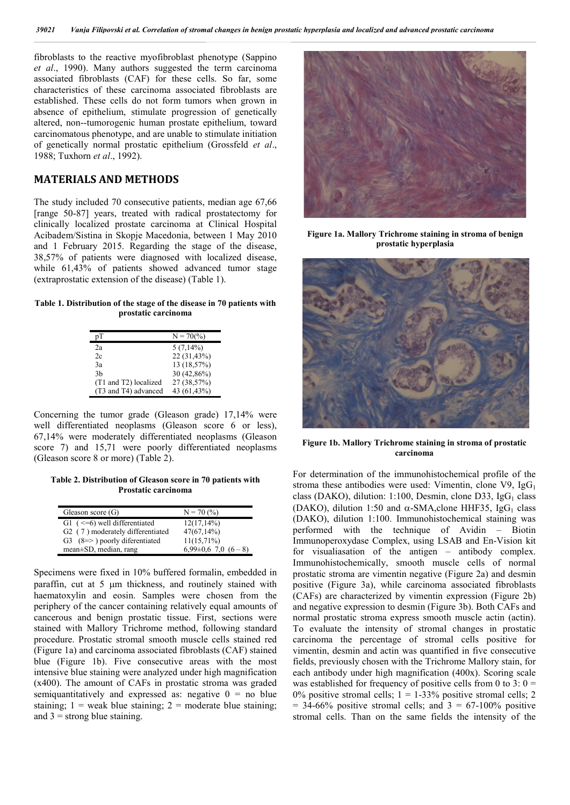fibroblasts to the reactive myofibroblast phenotype (Sappino *et al*., 1990). Many authors suggested the term carcinoma associated fibroblasts (CAF) for these cells. So far, some characteristics of these carcinoma associated fibroblasts are established. These cells do not form tumors when grown in absence of epithelium, stimulate progression of genetically altered, non--tumorogenic human prostate epithelium, toward carcinomatous phenotype, and are unable to stimulate initiation of genetically normal prostatic epithelium (Grossfeld *et al*., 1988; Tuxhorn *et al*., 1992).

### MATERIALS AND METHODS

The study included 70 consecutive patients, median age 67,66 [range 50-87] years, treated with radical prostatectomy for clinically localized prostate carcinoma at Clinical Hospital Acibadem/Sistina in Skopje Macedonia, between 1 May 2010 and 1 February 2015. Regarding the stage of the disease, 38,57% of patients were diagnosed with localized disease, while 61.43% of patients showed advanced tumor stage (extraprostatic extension of the disease) (Table 1).

#### Table 1. Distribution of the stage of the disease in 70 patients with prostatic carcinoma

|                       | $N = 70\frac{6}{6}$ |
|-----------------------|---------------------|
| 2a                    | $5(7,14\%)$         |
| 2c                    | 22 (31,43%)         |
| 3a                    | 13 (18,57%)         |
| 3b                    | 30 (42,86%)         |
| (T1 and T2) localized | 27 (38,57%)         |
| (T3 and T4) advanced  | 43 (61,43%)         |

Concerning the tumor grade (Gleason grade) 17,14% were well differentiated neoplasms (Gleason score 6 or less), 67,14% were moderately differentiated neoplasms (Gleason score 7) and 15,71 were poorly differentiated neoplasms (Gleason score 8 or more) (Table 2).

Table 2. Distribution of Gleason score in 70 patients with Prostatic carcinoma

| Gleason score $(G)$                          | $N = 70(%)$              |
|----------------------------------------------|--------------------------|
| G1 $(<=6$ ) well differentiated              | $12(17,14\%)$            |
| G <sub>2</sub> (7) moderately differentiated | $47(67,14\%)$            |
| $G3$ (8=>) poorly diferentiated              | $11(15,71\%)$            |
| mean $\pm SD$ , median, rang                 | $6.99\pm0.6$ 7,0 $(6-8)$ |

Specimens were fixed in 10% buffered formalin, embedded in paraffin, cut at  $5 \mu m$  thickness, and routinely stained with haematoxylin and eosin. Samples were chosen from the periphery of the cancer containing relatively equal amounts of cancerous and benign prostatic tissue. First, sections were stained with Mallory Trichrome method, following standard procedure. Prostatic stromal smooth muscle cells stained red (Figure 1a) and carcinoma associated fibroblasts (CAF) stained blue (Figure 1b). Five consecutive areas with the most intensive blue staining were analyzed under high magnification (x400). The amount of CAFs in prostatic stroma was graded semiquantitatively and expressed as: negative  $0 =$  no blue staining;  $1 =$  weak blue staining;  $2 =$  moderate blue staining; and  $3 =$  strong blue staining.



Figure 1a. Mallory Trichrome staining in stroma of benign prostatic hyperplasia



Figure 1b. Mallory Trichrome staining in stroma of prostatic carcinoma

For determination of the immunohistochemical profile of the stroma these antibodies were used: Vimentin, clone  $V9$ , IgG<sub>1</sub> class (DAKO), dilution: 1:100, Desmin, clone D33, IgG<sub>1</sub> class (DAKO), dilution 1:50 and  $\alpha$ -SMA, clone HHF35, IgG<sub>1</sub> class (DAKO), dilution 1:100. Immunohistochemical staining was performed with the technique of Avidin – Biotin Immunoperoxydase Complex, using LSAB and En-Vision kit for visualiasation of the antigen – antibody complex. Immunohistochemically, smooth muscle cells of normal prostatic stroma are vimentin negative (Figure 2a) and desmin positive (Figure 3a), while carcinoma associated fibroblasts (CAFs) are characterized by vimentin expression (Figure 2b) and negative expression to desmin (Figure 3b). Both CAFs and normal prostatic stroma express smooth muscle actin (actin). To evaluate the intensity of stromal changes in prostatic carcinoma the percentage of stromal cells positive for vimentin, desmin and actin was quantified in five consecutive fields, previously chosen with the Trichrome Mallory stain, for each antibody under high magnification (400x). Scoring scale was established for frequency of positive cells from 0 to 3:  $0 =$ 0% positive stromal cells;  $1 = 1-33\%$  positive stromal cells; 2  $= 34-66\%$  positive stromal cells; and  $3 = 67-100\%$  positive stromal cells. Than on the same fields the intensity of the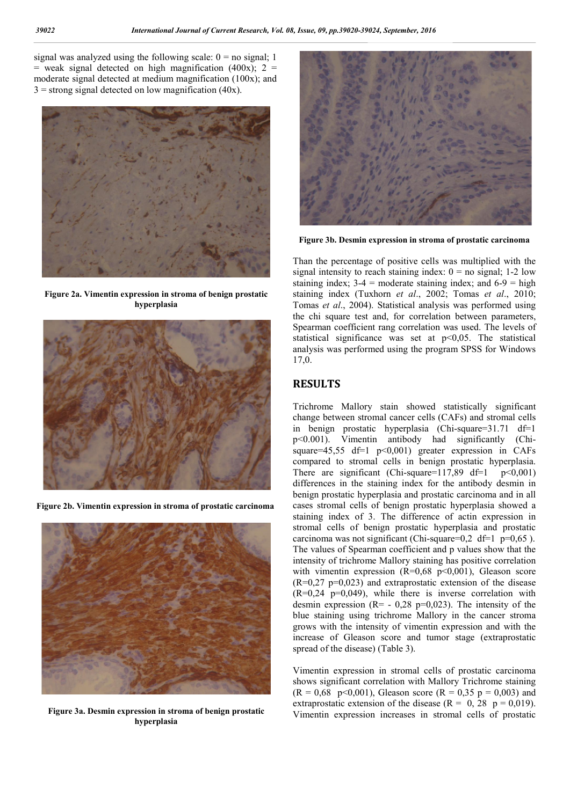signal was analyzed using the following scale:  $0 =$  no signal; 1  $=$  weak signal detected on high magnification (400x); 2  $=$ moderate signal detected at medium magnification (100x); and  $3 =$  strong signal detected on low magnification (40x).



Figure 2a. Vimentin expression in stroma of benign prostatic hyperplasia



Figure 2b. Vimentin expression in stroma of prostatic carcinoma



Figure 3a. Desmin expression in stroma of benign prostatic hyperplasia



Figure 3b. Desmin expression in stroma of prostatic carcinoma

Than the percentage of positive cells was multiplied with the signal intensity to reach staining index:  $0 =$  no signal; 1-2 low staining index;  $3-4$  = moderate staining index; and  $6-9$  = high staining index (Tuxhorn *et al*., 2002; Tomas *et al*., 2010; Tomas *et al*., 2004). Statistical analysis was performed using the chi square test and, for correlation between parameters, Spearman coefficient rang correlation was used. The levels of statistical significance was set at p<0,05. The statistical analysis was performed using the program SPSS for Windows 17,0.

# RESULTS

Trichrome Mallory stain showed statistically significant change between stromal cancer cells (CAFs) and stromal cells in benign prostatic hyperplasia (Chi-square=31.71 df=1 p<0.001). Vimentin antibody had significantly (Chisquare=45,55 df=1 p<0,001) greater expression in CAFs compared to stromal cells in benign prostatic hyperplasia. There are significant (Chi-square=117,89 df=1  $p<0,001$ ) differences in the staining index for the antibody desmin in benign prostatic hyperplasia and prostatic carcinoma and in all cases stromal cells of benign prostatic hyperplasia showed a staining index of 3. The difference of actin expression in stromal cells of benign prostatic hyperplasia and prostatic carcinoma was not significant (Chi-square=0,2 df=1  $p=0,65$ ). The values of Spearman coefficient and p values show that the intensity of trichrome Mallory staining has positive correlation with vimentin expression  $(R=0.68 \text{ p} < 0.001)$ , Gleason score  $(R=0.27 \text{ p}=0.023)$  and extraprostatic extension of the disease  $(R=0.24 \text{ p}=0.049)$ , while there is inverse correlation with desmin expression  $(R= -0.28 \text{ p}=0.023)$ . The intensity of the blue staining using trichrome Mallory in the cancer stroma grows with the intensity of vimentin expression and with the increase of Gleason score and tumor stage (extraprostatic spread of the disease) (Table 3).

Vimentin expression in stromal cells of prostatic carcinoma shows significant correlation with Mallory Trichrome staining  $(R = 0.68 \text{ p} < 0.001)$ , Gleason score  $(R = 0.35 \text{ p} = 0.003)$  and extraprostatic extension of the disease ( $R = 0$ , 28  $p = 0.019$ ). Vimentin expression increases in stromal cells of prostatic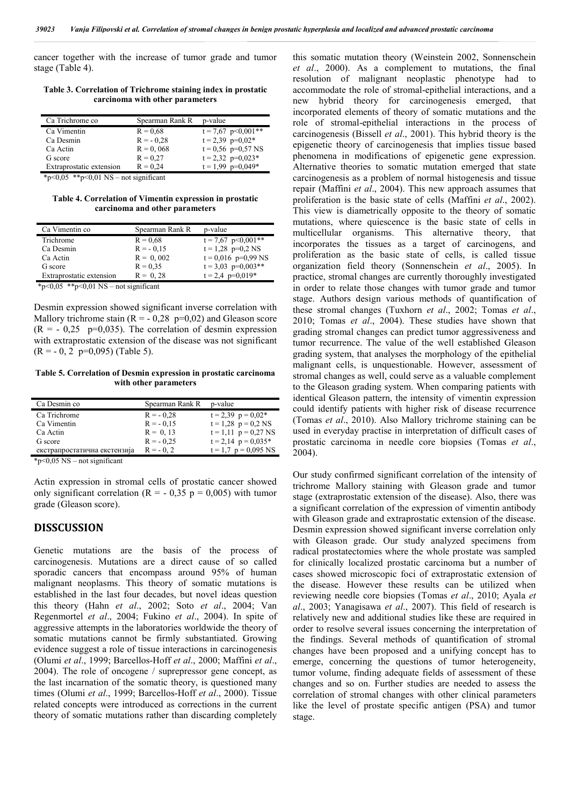cancer together with the increase of tumor grade and tumor stage (Table 4).

Table 3. Correlation of Trichrome staining index in prostatic carcinoma with other parameters

| Ca Trichrome co          | Spearman Rank R | p-value                    |
|--------------------------|-----------------|----------------------------|
| Ca Vimentin              | $R = 0.68$      | $t = 7{,}67$ p $< 0.001**$ |
| Ca Desmin                | $R = -0.28$     | $t = 2.39$ $p=0.02*$       |
| Ca Actin                 | $R = 0,068$     | $t = 0.56$ p=0.57 NS       |
| G score                  | $R = 0.27$      | $t = 2,32$ p=0,023*        |
| Extraprostatic extension | $R = 0.24$      | $t = 1.99$ p=0.049*        |
|                          |                 |                            |

 $*_{p \leq 0.05}$   $*_{p \leq 0.01}$  NS – not significant

Table 4. Correlation of Vimentin expression in prostatic carcinoma and other parameters

| Ca Vimentin co           | Spearman Rank R | p-value                  |
|--------------------------|-----------------|--------------------------|
| Trichrome                | $R = 0.68$      | $t = 7{,}67$ p < 0.001** |
| Ca Desmin                | $R = -0.15$     | $t = 1,28$ p=0,2 NS      |
| Ca Actin                 | $R = 0,002$     | $t = 0.016$ p=0.99 NS    |
| G score                  | $R = 0.35$      | $t = 3.03$ p=0.003**     |
| Extraprostatic extension | $R = 0.28$      | $t = 2.4$ p=0.019*       |

\*p<0,05 \*\*p<0,01 NS – not significant

Desmin expression showed significant inverse correlation with Mallory trichrome stain  $(R = -0.28 \text{ p}=0.02)$  and Gleason score  $(R = -0.25 \text{ p}=0.035)$ . The correlation of desmin expression with extraprostatic extension of the disease was not significant  $(R = -0.2 \text{ p=0.095})$  (Table 5).

Table 5. Correlation of Desmin expression in prostatic carcinoma with other parameters

| Ca Desmin co                 | Spearman Rank R | p-value                  |
|------------------------------|-----------------|--------------------------|
| Ca Trichrome                 | $R = -0.28$     | $t = 2,39$ $p = 0,02*$   |
| Ca Vimentin                  | $R = -0.15$     | $t = 1,28$ $p = 0,2$ NS  |
| Ca Actin                     | $R = 0, 13$     | $t = 1,11$ $p = 0,27$ NS |
| G score                      | $R = -0.25$     | $t = 2,14$ $p = 0,035*$  |
| екстрапростатична екстензија | $R = -0.2$      | $t = 1.7$ $p = 0.095$ NS |
|                              |                 |                          |

\*p<0,05 NS – not significant

Actin expression in stromal cells of prostatic cancer showed only significant correlation ( $R = -0.35$  p = 0,005) with tumor grade (Gleason score).

### DISSCUSSION

Genetic mutations are the basis of the process of carcinogenesis. Mutations are a direct cause of so called sporadic cancers that encompass around 95% of human malignant neoplasms. This theory of somatic mutations is established in the last four decades, but novel ideas question this theory (Hahn *et al*., 2002; Soto *et al*., 2004; Van Regenmortel *et al*., 2004; Fukino *et al*., 2004). In spite of aggressive attempts in the laboratories worldwide the theory of somatic mutations cannot be firmly substantiated. Growing evidence suggest a role of tissue interactions in carcinogenesis (Olumi *et al*., 1999; Barcellos-Hoff *et al*., 2000; Maffini *et al*., 2004). The role of oncogene / suprepressor gene concept, as the last incarnation of the somatic theory, is questioned many times (Olumi *et al*., 1999; Barcellos-Hoff *et al*., 2000). Tissue related concepts were introduced as corrections in the current theory of somatic mutations rather than discarding completely this somatic mutation theory (Weinstein 2002, Sonnenschein *et al*., 2000). As a complement to mutations, the final resolution of malignant neoplastic phenotype had to accommodate the role of stromal-epithelial interactions, and a new hybrid theory for carcinogenesis emerged, that incorporated elements of theory of somatic mutations and the role of stromal-epithelial interactions in the process of carcinogenesis (Bissell *et al*., 2001). This hybrid theory is the epigenetic theory of carcinogenesis that implies tissue based phenomena in modifications of epigenetic gene expression. Alternative theories to somatic mutation emerged that state carcinogenesis as a problem of normal histogenesis and tissue repair (Maffini *et al*., 2004). This new approach assumes that proliferation is the basic state of cells (Maffini *et al*., 2002). This view is diametrically opposite to the theory of somatic mutations, where quiescence is the basic state of cells in multicellular organisms. This alternative theory, that incorporates the tissues as a target of carcinogens, and proliferation as the basic state of cells, is called tissue organization field theory (Sonnenschein *et al*., 2005). In practice, stromal changes are currently thoroughly investigated in order to relate those changes with tumor grade and tumor stage. Authors design various methods of quantification of these stromal changes (Tuxhorn *et al*., 2002; Tomas *et al*., 2010; Tomas *et al*., 2004). These studies have shown that grading stromal changes can predict tumor aggressiveness and tumor recurrence. The value of the well established Gleason grading system, that analyses the morphology of the epithelial malignant cells, is unquestionable. However, assessment of stromal changes as well, could serve as a valuable complement to the Gleason grading system. When comparing patients with identical Gleason pattern, the intensity of vimentin expression could identify patients with higher risk of disease recurrence (Tomas *et al*., 2010). Also Mallory trichrome staining can be used in everyday practise in interpretation of difficult cases of prostatic carcinoma in needle core biopsies (Tomas *et al*., 2004).

Our study confirmed significant correlation of the intensity of trichrome Mallory staining with Gleason grade and tumor stage (extraprostatic extension of the disease). Also, there was a significant correlation of the expression of vimentin antibody with Gleason grade and extraprostatic extension of the disease. Desmin expression showed significant inverse correlation only with Gleason grade. Our study analyzed specimens from radical prostatectomies where the whole prostate was sampled for clinically localized prostatic carcinoma but a number of cases showed microscopic foci of extraprostatic extension of the disease. However these results can be utilized when reviewing needle core biopsies (Tomas *et al*., 2010; Ayala *et al*., 2003; Yanagisawa *et al*., 2007). This field of research is relatively new and additional studies like these are required in order to resolve several issues concerning the interpretation of the findings. Several methods of quantification of stromal changes have been proposed and a unifying concept has to emerge, concerning the questions of tumor heterogeneity, tumor volume, finding adequate fields of assessment of these changes and so on. Further studies are needed to assess the correlation of stromal changes with other clinical parameters like the level of prostate specific antigen (PSA) and tumor stage.